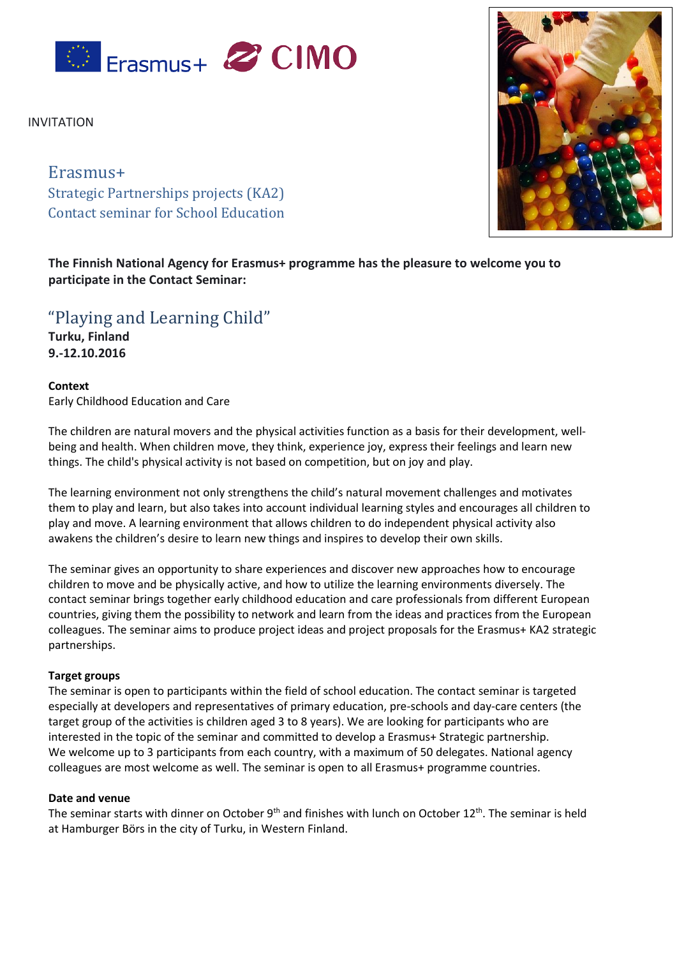

INVITATION

# Erasmus+ Strategic Partnerships projects (KA2) Contact seminar for School Education



**The Finnish National Agency for Erasmus+ programme has the pleasure to welcome you to participate in the Contact Seminar:**

"Playing and Learning Child"

**Turku, Finland 9.-12.10.2016**

**Context** Early Childhood Education and Care

The children are natural movers and the physical activities function as a basis for their development, wellbeing and health. When children move, they think, experience joy, express their feelings and learn new things. The child's physical activity is not based on competition, but on joy and play.

The learning environment not only strengthens the child's natural movement challenges and motivates them to play and learn, but also takes into account individual learning styles and encourages all children to play and move. A learning environment that allows children to do independent physical activity also awakens the children's desire to learn new things and inspires to develop their own skills.

The seminar gives an opportunity to share experiences and discover new approaches how to encourage children to move and be physically active, and how to utilize the learning environments diversely. The contact seminar brings together early childhood education and care professionals from different European countries, giving them the possibility to network and learn from the ideas and practices from the European colleagues. The seminar aims to produce project ideas and project proposals for the Erasmus+ KA2 strategic partnerships.

# **Target groups**

The seminar is open to participants within the field of school education. The contact seminar is targeted especially at developers and representatives of primary education, pre-schools and day-care centers (the target group of the activities is children aged 3 to 8 years). We are looking for participants who are interested in the topic of the seminar and committed to develop a Erasmus+ Strategic partnership. We welcome up to 3 participants from each country, with a maximum of 50 delegates. National agency colleagues are most welcome as well. The seminar is open to all Erasmus+ programme countries.

# **Date and venue**

The seminar starts with dinner on October 9<sup>th</sup> and finishes with lunch on October 12<sup>th</sup>. The seminar is held at Hamburger Börs in the city of Turku, in Western Finland.